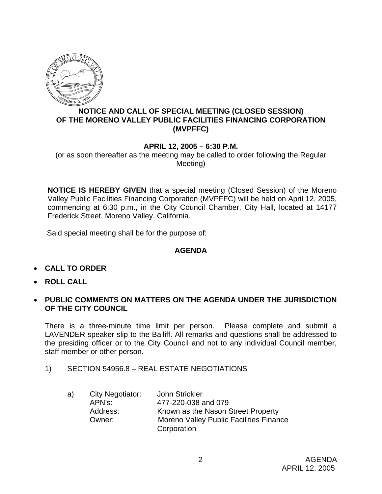

## **NOTICE AND CALL OF SPECIAL MEETING (CLOSED SESSION) OF THE MORENO VALLEY PUBLIC FACILITIES FINANCING CORPORATION (MVPFFC)**

## **APRIL 12, 2005 – 6:30 P.M.**

(or as soon thereafter as the meeting may be called to order following the Regular Meeting)

**NOTICE IS HEREBY GIVEN** that a special meeting (Closed Session) of the Moreno Valley Public Facilities Financing Corporation (MVPFFC) will be held on April 12, 2005, commencing at 6:30 p.m., in the City Council Chamber, City Hall, located at 14177 Frederick Street, Moreno Valley, California.

Said special meeting shall be for the purpose of:

## **AGENDA**

- **CALL TO ORDER**
- **ROLL CALL**
- **PUBLIC COMMENTS ON MATTERS ON THE AGENDA UNDER THE JURISDICTION OF THE CITY COUNCIL**

There is a three-minute time limit per person. Please complete and submit a LAVENDER speaker slip to the Bailiff. All remarks and questions shall be addressed to the presiding officer or to the City Council and not to any individual Council member, staff member or other person.

1) SECTION 54956.8 – REAL ESTATE NEGOTIATIONS

| a) | City Negotiator: | John Strickler                                 |
|----|------------------|------------------------------------------------|
|    | APN's:           | 477-220-038 and 079                            |
|    | Address:         | Known as the Nason Street Property             |
|    | Owner:           | <b>Moreno Valley Public Facilities Finance</b> |
|    |                  | Corporation                                    |